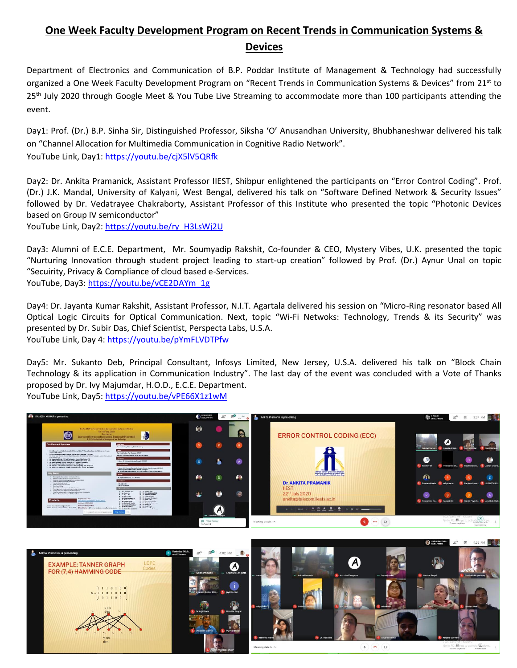## **One Week Faculty Development Program on Recent Trends in Communication Systems & Devices**

Department of Electronics and Communication of B.P. Poddar Institute of Management & Technology had successfully organized a One Week Faculty Development Program on "Recent Trends in Communication Systems & Devices" from 21st to 25<sup>th</sup> July 2020 through Google Meet & You Tube Live Streaming to accommodate more than 100 participants attending the event.

Day1: Prof. (Dr.) B.P. Sinha Sir, Distinguished Professor, Siksha 'O' Anusandhan University, Bhubhaneshwar delivered his talk on "Channel Allocation for Multimedia Communication in Cognitive Radio Network". YouTube Link, Day1[: https://youtu.be/cjX5lV5QRfk](https://youtu.be/cjX5lV5QRfk)

Day2: Dr. Ankita Pramanick, Assistant Professor IIEST, Shibpur enlightened the participants on "Error Control Coding". Prof. (Dr.) J.K. Mandal, University of Kalyani, West Bengal, delivered his talk on "Software Defined Network & Security Issues" followed by Dr. Vedatrayee Chakraborty, Assistant Professor of this Institute who presented the topic "Photonic Devices based on Group IV semiconductor"

YouTube Link, Day2[: https://youtu.be/ry\\_H3LsWj2U](https://youtu.be/ry_H3LsWj2U)

Day3: Alumni of E.C.E. Department, Mr. Soumyadip Rakshit, Co-founder & CEO, Mystery Vibes, U.K. presented the topic "Nurturing Innovation through student project leading to start-up creation" followed by Prof. (Dr.) Aynur Unal on topic "Secuirity, Privacy & Compliance of cloud based e-Services. YouTube, Day3: [https://youtu.be/vCE2DAYm\\_1g](https://youtu.be/vCE2DAYm_1g)

Day4: Dr. Jayanta Kumar Rakshit, Assistant Professor, N.I.T. Agartala delivered his session on "Micro-Ring resonator based All Optical Logic Circuits for Optical Communication. Next, topic "Wi-Fi Netwoks: Technology, Trends & its Security" was presented by Dr. Subir Das, Chief Scientist, Perspecta Labs, U.S.A. YouTube Link, Day 4:<https://youtu.be/pYmFLVDTPfw>

Day5: Mr. Sukanto Deb, Principal Consultant, Infosys Limited, New Jersey, U.S.A. delivered his talk on "Block Chain Technology & its application in Communication Industry". The last day of the event was concluded with a Vote of Thanks proposed by Dr. Ivy Majumdar, H.O.D., E.C.E. Department. YouTube Link, Day5[: https://youtu.be/vPE66X1z1wM](https://youtu.be/vPE66X1z1wM)